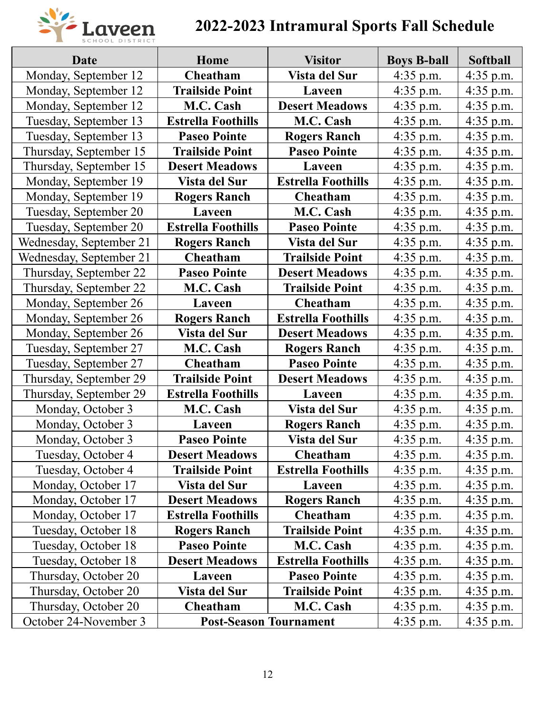

## **2022-2023 Intramural Sports Fall Schedule**

| Date                    | Home                      | <b>Visitor</b>                | <b>Boys B-ball</b> | <b>Softball</b> |
|-------------------------|---------------------------|-------------------------------|--------------------|-----------------|
| Monday, September 12    | Cheatham                  | Vista del Sur                 | $4:35$ p.m.        | $4:35$ p.m.     |
| Monday, September 12    | <b>Trailside Point</b>    | Laveen                        | $4:35$ p.m.        | $4:35$ p.m.     |
| Monday, September 12    | M.C. Cash                 | <b>Desert Meadows</b>         | $4:35$ p.m.        | $4:35$ p.m.     |
| Tuesday, September 13   | <b>Estrella Foothills</b> | M.C. Cash                     | $4:35$ p.m.        | $4:35$ p.m.     |
| Tuesday, September 13   | <b>Paseo Pointe</b>       | <b>Rogers Ranch</b>           | $4:35$ p.m.        | $4:35$ p.m.     |
| Thursday, September 15  | <b>Trailside Point</b>    | <b>Paseo Pointe</b>           | $4:35$ p.m.        | $4:35$ p.m.     |
| Thursday, September 15  | <b>Desert Meadows</b>     | Laveen                        | $4:35$ p.m.        | 4:35 p.m.       |
| Monday, September 19    | Vista del Sur             | <b>Estrella Foothills</b>     | $4:35$ p.m.        | 4:35 p.m.       |
| Monday, September 19    | <b>Rogers Ranch</b>       | Cheatham                      | $4:35$ p.m.        | $4:35$ p.m.     |
| Tuesday, September 20   | Laveen                    | M.C. Cash                     | $4:35$ p.m.        | $4:35$ p.m.     |
| Tuesday, September 20   | <b>Estrella Foothills</b> | <b>Paseo Pointe</b>           | $4:35$ p.m.        | 4:35 p.m.       |
| Wednesday, September 21 | <b>Rogers Ranch</b>       | Vista del Sur                 | $4:35$ p.m.        | $4:35$ p.m.     |
| Wednesday, September 21 | Cheatham                  | <b>Trailside Point</b>        | 4:35 p.m.          | $4:35$ p.m.     |
| Thursday, September 22  | <b>Paseo Pointe</b>       | <b>Desert Meadows</b>         | $4:35$ p.m.        | 4:35 p.m.       |
| Thursday, September 22  | M.C. Cash                 | <b>Trailside Point</b>        | $4:35$ p.m.        | $4:35$ p.m.     |
| Monday, September 26    | Laveen                    | Cheatham                      | 4:35 p.m.          | $4:35$ p.m.     |
| Monday, September 26    | <b>Rogers Ranch</b>       | <b>Estrella Foothills</b>     | $4:35$ p.m.        | $4:35$ p.m.     |
| Monday, September 26    | Vista del Sur             | <b>Desert Meadows</b>         | $4:35$ p.m.        | 4:35 p.m.       |
| Tuesday, September 27   | M.C. Cash                 | <b>Rogers Ranch</b>           | $4:35$ p.m.        | $4:35$ p.m.     |
| Tuesday, September 27   | Cheatham                  | <b>Paseo Pointe</b>           | $4:35$ p.m.        | 4:35 p.m.       |
| Thursday, September 29  | <b>Trailside Point</b>    | <b>Desert Meadows</b>         | $4:35$ p.m.        | $4:35$ p.m.     |
| Thursday, September 29  | <b>Estrella Foothills</b> | Laveen                        | $4:35$ p.m.        | $4:35$ p.m.     |
| Monday, October 3       | M.C. Cash                 | Vista del Sur                 | $4:35$ p.m.        | $4:35$ p.m.     |
| Monday, October 3       | Laveen                    | <b>Rogers Ranch</b>           | $4:35$ p.m.        | $4:35$ p.m.     |
| Monday, October 3       | <b>Paseo Pointe</b>       | Vista del Sur                 | $4:35$ p.m.        | 4:35 p.m.       |
| Tuesday, October 4      | <b>Desert Meadows</b>     | Cheatham                      | $4:35$ p.m.        | 4:35 p.m.       |
| Tuesday, October 4      | <b>Trailside Point</b>    | <b>Estrella Foothills</b>     | $4:35$ p.m.        | $4:35$ p.m.     |
| Monday, October 17      | Vista del Sur             | Laveen                        | $4:35$ p.m.        | $4:35$ p.m.     |
| Monday, October 17      | <b>Desert Meadows</b>     | <b>Rogers Ranch</b>           | $4:35$ p.m.        | $4:35$ p.m.     |
| Monday, October 17      | <b>Estrella Foothills</b> | <b>Cheatham</b>               | $4:35$ p.m.        | $4:35$ p.m.     |
| Tuesday, October 18     | <b>Rogers Ranch</b>       | <b>Trailside Point</b>        | $4:35$ p.m.        | $4:35$ p.m.     |
| Tuesday, October 18     | <b>Paseo Pointe</b>       | M.C. Cash                     | $4:35$ p.m.        | $4:35$ p.m.     |
| Tuesday, October 18     | <b>Desert Meadows</b>     | <b>Estrella Foothills</b>     | $4:35$ p.m.        | $4:35$ p.m.     |
| Thursday, October 20    | Laveen                    | <b>Paseo Pointe</b>           | $4:35$ p.m.        | $4:35$ p.m.     |
| Thursday, October 20    | Vista del Sur             | <b>Trailside Point</b>        | $4:35$ p.m.        | $4:35$ p.m.     |
| Thursday, October 20    | Cheatham                  | M.C. Cash                     | $4:35$ p.m.        | $4:35$ p.m.     |
| October 24-November 3   |                           | <b>Post-Season Tournament</b> | $4:35$ p.m.        | $4:35$ p.m.     |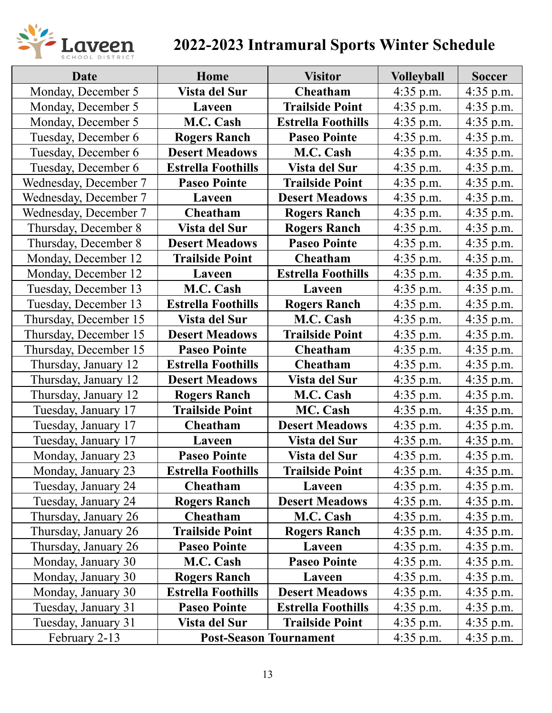

## **2022-2023 Intramural Sports Winter Schedule**

| Date                  | Home                          | <b>Visitor</b>            | <b>Volleyball</b> | <b>Soccer</b> |
|-----------------------|-------------------------------|---------------------------|-------------------|---------------|
| Monday, December 5    | Vista del Sur                 | <b>Cheatham</b>           | $4:35$ p.m.       | 4:35 p.m.     |
| Monday, December 5    | Laveen                        | <b>Trailside Point</b>    | $4:35$ p.m.       | $4:35$ p.m.   |
| Monday, December 5    | M.C. Cash                     | <b>Estrella Foothills</b> | $4:35$ p.m.       | $4:35$ p.m.   |
| Tuesday, December 6   | <b>Rogers Ranch</b>           | <b>Paseo Pointe</b>       | $4:35$ p.m.       | $4:35$ p.m.   |
| Tuesday, December 6   | <b>Desert Meadows</b>         | M.C. Cash                 | 4:35 p.m.         | $4:35$ p.m.   |
| Tuesday, December 6   | <b>Estrella Foothills</b>     | Vista del Sur             | $4:35$ p.m.       | 4:35 p.m.     |
| Wednesday, December 7 | <b>Paseo Pointe</b>           | <b>Trailside Point</b>    | $4:35$ p.m.       | $4:35$ p.m.   |
| Wednesday, December 7 | Laveen                        | <b>Desert Meadows</b>     | $4:35$ p.m.       | 4:35 p.m.     |
| Wednesday, December 7 | Cheatham                      | <b>Rogers Ranch</b>       | $4:35$ p.m.       | $4:35$ p.m.   |
| Thursday, December 8  | Vista del Sur                 | <b>Rogers Ranch</b>       | $4:35$ p.m.       | $4:35$ p.m.   |
| Thursday, December 8  | <b>Desert Meadows</b>         | <b>Paseo Pointe</b>       | $4:35$ p.m.       | $4:35$ p.m.   |
| Monday, December 12   | <b>Trailside Point</b>        | Cheatham                  | $4:35$ p.m.       | $4:35$ p.m.   |
| Monday, December 12   | Laveen                        | <b>Estrella Foothills</b> | $4:35$ p.m.       | $4:35$ p.m.   |
| Tuesday, December 13  | M.C. Cash                     | Laveen                    | $4:35$ p.m.       | $4:35$ p.m.   |
| Tuesday, December 13  | <b>Estrella Foothills</b>     | <b>Rogers Ranch</b>       | $4:35$ p.m.       | $4:35$ p.m.   |
| Thursday, December 15 | Vista del Sur                 | M.C. Cash                 | $4:35$ p.m.       | $4:35$ p.m.   |
| Thursday, December 15 | <b>Desert Meadows</b>         | <b>Trailside Point</b>    | $4:35$ p.m.       | $4:35$ p.m.   |
| Thursday, December 15 | <b>Paseo Pointe</b>           | Cheatham                  | $4:35$ p.m.       | $4:35$ p.m.   |
| Thursday, January 12  | <b>Estrella Foothills</b>     | Cheatham                  | $4:35$ p.m.       | $4:35$ p.m.   |
| Thursday, January 12  | <b>Desert Meadows</b>         | Vista del Sur             | $4:35$ p.m.       | $4:35$ p.m.   |
| Thursday, January 12  | <b>Rogers Ranch</b>           | M.C. Cash                 | $4:35$ p.m.       | $4:35$ p.m.   |
| Tuesday, January 17   | <b>Trailside Point</b>        | MC. Cash                  | $4:35$ p.m.       | $4:35$ p.m.   |
| Tuesday, January 17   | Cheatham                      | <b>Desert Meadows</b>     | $4:35$ p.m.       | 4:35 p.m.     |
| Tuesday, January 17   | Laveen                        | Vista del Sur             | $4:35$ p.m.       | 4:35 p.m.     |
| Monday, January 23    | <b>Paseo Pointe</b>           | Vista del Sur             | $4:35$ p.m.       | $4:35$ p.m.   |
| Monday, January 23    | <b>Estrella Foothills</b>     | <b>Trailside Point</b>    | 4:35 p.m.         | 4:35 p.m.     |
| Tuesday, January 24   | <b>Cheatham</b>               | Laveen                    | $4:35$ p.m.       | $4:35$ p.m.   |
| Tuesday, January 24   | <b>Rogers Ranch</b>           | <b>Desert Meadows</b>     | $4:35$ p.m.       | $4:35$ p.m.   |
| Thursday, January 26  | Cheatham                      | M.C. Cash                 | $4:35$ p.m.       | $4:35$ p.m.   |
| Thursday, January 26  | <b>Trailside Point</b>        | <b>Rogers Ranch</b>       | $4:35$ p.m.       | $4:35$ p.m.   |
| Thursday, January 26  | <b>Paseo Pointe</b>           | Laveen                    | $4:35$ p.m.       | 4:35 p.m.     |
| Monday, January 30    | M.C. Cash                     | <b>Paseo Pointe</b>       | $4:35$ p.m.       | $4:35$ p.m.   |
| Monday, January 30    | <b>Rogers Ranch</b>           | Laveen                    | $4:35$ p.m.       | $4:35$ p.m.   |
| Monday, January 30    | <b>Estrella Foothills</b>     | <b>Desert Meadows</b>     | $4:35$ p.m.       | $4:35$ p.m.   |
| Tuesday, January 31   | <b>Paseo Pointe</b>           | <b>Estrella Foothills</b> | $4:35$ p.m.       | $4:35$ p.m.   |
| Tuesday, January 31   | Vista del Sur                 | <b>Trailside Point</b>    | $4:35$ p.m.       | 4:35 p.m.     |
| February 2-13         | <b>Post-Season Tournament</b> |                           | $4:35$ p.m.       | $4:35$ p.m.   |